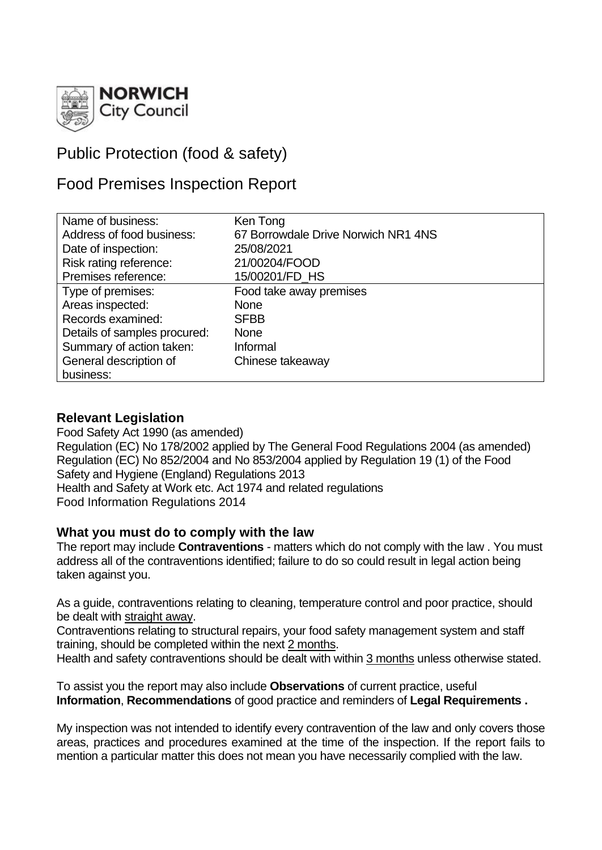

# Public Protection (food & safety)

## Food Premises Inspection Report

| Name of business:            | Ken Tong                            |
|------------------------------|-------------------------------------|
| Address of food business:    | 67 Borrowdale Drive Norwich NR1 4NS |
| Date of inspection:          | 25/08/2021                          |
| Risk rating reference:       | 21/00204/FOOD                       |
| Premises reference:          | 15/00201/FD HS                      |
| Type of premises:            | Food take away premises             |
| Areas inspected:             | <b>None</b>                         |
| Records examined:            | <b>SFBB</b>                         |
| Details of samples procured: | <b>None</b>                         |
| Summary of action taken:     | Informal                            |
| General description of       | Chinese takeaway                    |
| business:                    |                                     |

## **Relevant Legislation**

Food Safety Act 1990 (as amended) Regulation (EC) No 178/2002 applied by The General Food Regulations 2004 (as amended) Regulation (EC) No 852/2004 and No 853/2004 applied by Regulation 19 (1) of the Food Safety and Hygiene (England) Regulations 2013 Health and Safety at Work etc. Act 1974 and related regulations Food Information Regulations 2014

## **What you must do to comply with the law**

The report may include **Contraventions** - matters which do not comply with the law . You must address all of the contraventions identified; failure to do so could result in legal action being taken against you.

As a guide, contraventions relating to cleaning, temperature control and poor practice, should be dealt with straight away.

Contraventions relating to structural repairs, your food safety management system and staff training, should be completed within the next 2 months.

Health and safety contraventions should be dealt with within 3 months unless otherwise stated.

To assist you the report may also include **Observations** of current practice, useful **Information**, **Recommendations** of good practice and reminders of **Legal Requirements .**

My inspection was not intended to identify every contravention of the law and only covers those areas, practices and procedures examined at the time of the inspection. If the report fails to mention a particular matter this does not mean you have necessarily complied with the law.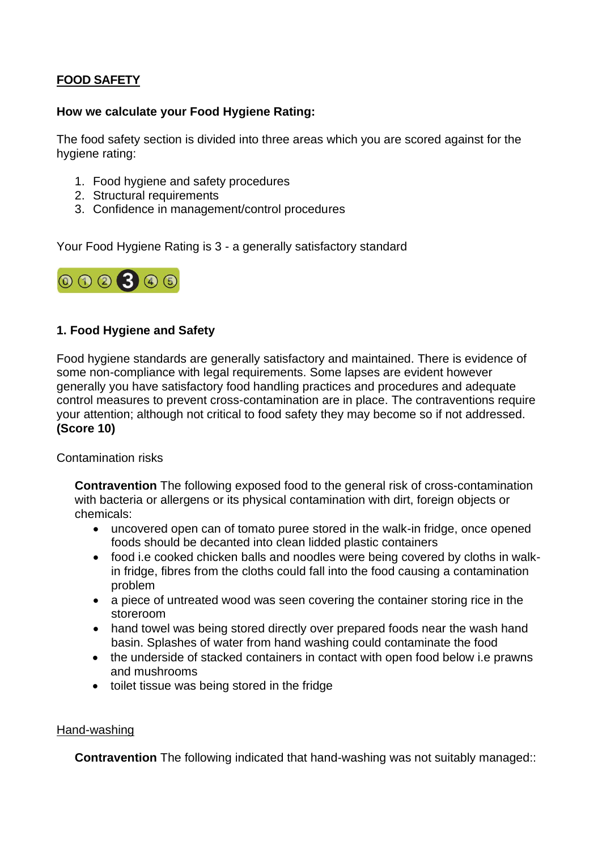## **FOOD SAFETY**

#### **How we calculate your Food Hygiene Rating:**

The food safety section is divided into three areas which you are scored against for the hygiene rating:

- 1. Food hygiene and safety procedures
- 2. Structural requirements
- 3. Confidence in management/control procedures

Your Food Hygiene Rating is 3 - a generally satisfactory standard



## **1. Food Hygiene and Safety**

Food hygiene standards are generally satisfactory and maintained. There is evidence of some non-compliance with legal requirements. Some lapses are evident however generally you have satisfactory food handling practices and procedures and adequate control measures to prevent cross-contamination are in place. The contraventions require your attention; although not critical to food safety they may become so if not addressed. **(Score 10)**

Contamination risks

**Contravention** The following exposed food to the general risk of cross-contamination with bacteria or allergens or its physical contamination with dirt, foreign objects or chemicals:

- uncovered open can of tomato puree stored in the walk-in fridge, once opened foods should be decanted into clean lidded plastic containers
- food i.e cooked chicken balls and noodles were being covered by cloths in walkin fridge, fibres from the cloths could fall into the food causing a contamination problem
- a piece of untreated wood was seen covering the container storing rice in the storeroom
- hand towel was being stored directly over prepared foods near the wash hand basin. Splashes of water from hand washing could contaminate the food
- the underside of stacked containers in contact with open food below i.e prawns and mushrooms
- toilet tissue was being stored in the fridge

#### Hand-washing

**Contravention** The following indicated that hand-washing was not suitably managed::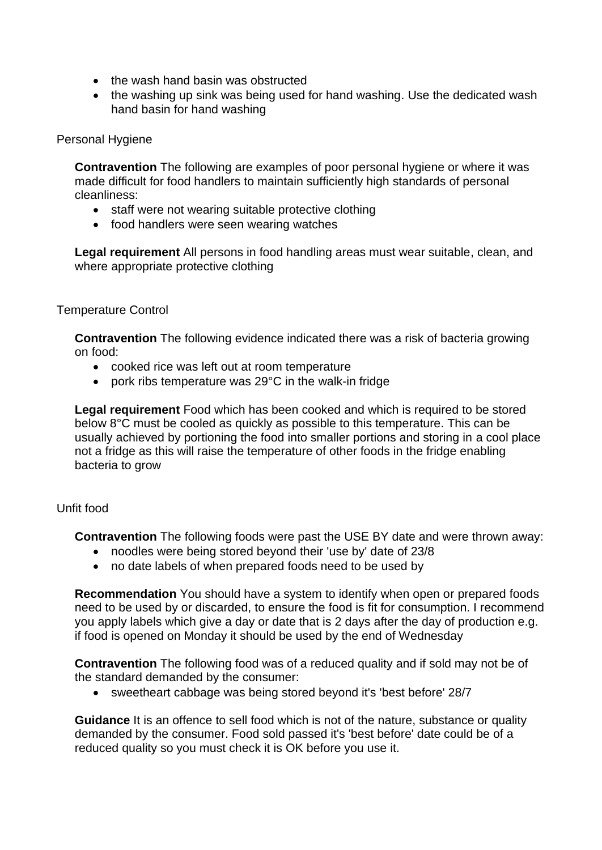- the wash hand basin was obstructed
- the washing up sink was being used for hand washing. Use the dedicated wash hand basin for hand washing

#### Personal Hygiene

**Contravention** The following are examples of poor personal hygiene or where it was made difficult for food handlers to maintain sufficiently high standards of personal cleanliness:

- staff were not wearing suitable protective clothing
- food handlers were seen wearing watches

**Legal requirement** All persons in food handling areas must wear suitable, clean, and where appropriate protective clothing

#### Temperature Control

**Contravention** The following evidence indicated there was a risk of bacteria growing on food:

- cooked rice was left out at room temperature
- pork ribs temperature was 29°C in the walk-in fridge

**Legal requirement** Food which has been cooked and which is required to be stored below 8°C must be cooled as quickly as possible to this temperature. This can be usually achieved by portioning the food into smaller portions and storing in a cool place not a fridge as this will raise the temperature of other foods in the fridge enabling bacteria to grow

#### Unfit food

**Contravention** The following foods were past the USE BY date and were thrown away:

- noodles were being stored beyond their 'use by' date of 23/8
- no date labels of when prepared foods need to be used by

**Recommendation** You should have a system to identify when open or prepared foods need to be used by or discarded, to ensure the food is fit for consumption. I recommend you apply labels which give a day or date that is 2 days after the day of production e.g. if food is opened on Monday it should be used by the end of Wednesday

**Contravention** The following food was of a reduced quality and if sold may not be of the standard demanded by the consumer:

• sweetheart cabbage was being stored beyond it's 'best before' 28/7

**Guidance** It is an offence to sell food which is not of the nature, substance or quality demanded by the consumer. Food sold passed it's 'best before' date could be of a reduced quality so you must check it is OK before you use it.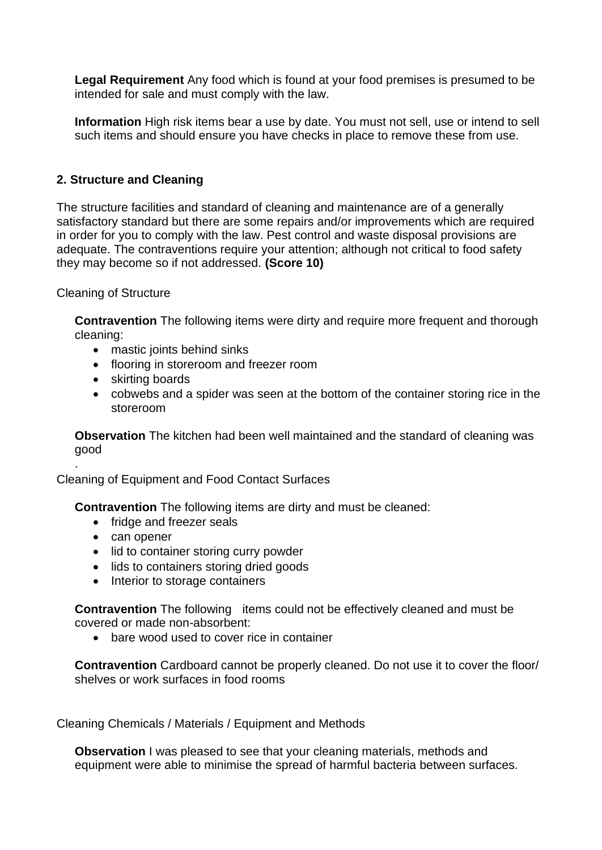**Legal Requirement** Any food which is found at your food premises is presumed to be intended for sale and must comply with the law.

**Information** High risk items bear a use by date. You must not sell, use or intend to sell such items and should ensure you have checks in place to remove these from use.

## **2. Structure and Cleaning**

The structure facilities and standard of cleaning and maintenance are of a generally satisfactory standard but there are some repairs and/or improvements which are required in order for you to comply with the law. Pest control and waste disposal provisions are adequate. The contraventions require your attention; although not critical to food safety they may become so if not addressed. **(Score 10)**

Cleaning of Structure

**Contravention** The following items were dirty and require more frequent and thorough cleaning:

- mastic joints behind sinks
- flooring in storeroom and freezer room
- skirting boards
- cobwebs and a spider was seen at the bottom of the container storing rice in the storeroom

**Observation** The kitchen had been well maintained and the standard of cleaning was good

Cleaning of Equipment and Food Contact Surfaces

**Contravention** The following items are dirty and must be cleaned:

- fridge and freezer seals
- can opener

.

- lid to container storing curry powder
- lids to containers storing dried goods
- Interior to storage containers

**Contravention** The following items could not be effectively cleaned and must be covered or made non-absorbent:

• bare wood used to cover rice in container

**Contravention** Cardboard cannot be properly cleaned. Do not use it to cover the floor/ shelves or work surfaces in food rooms

Cleaning Chemicals / Materials / Equipment and Methods

**Observation** I was pleased to see that your cleaning materials, methods and equipment were able to minimise the spread of harmful bacteria between surfaces.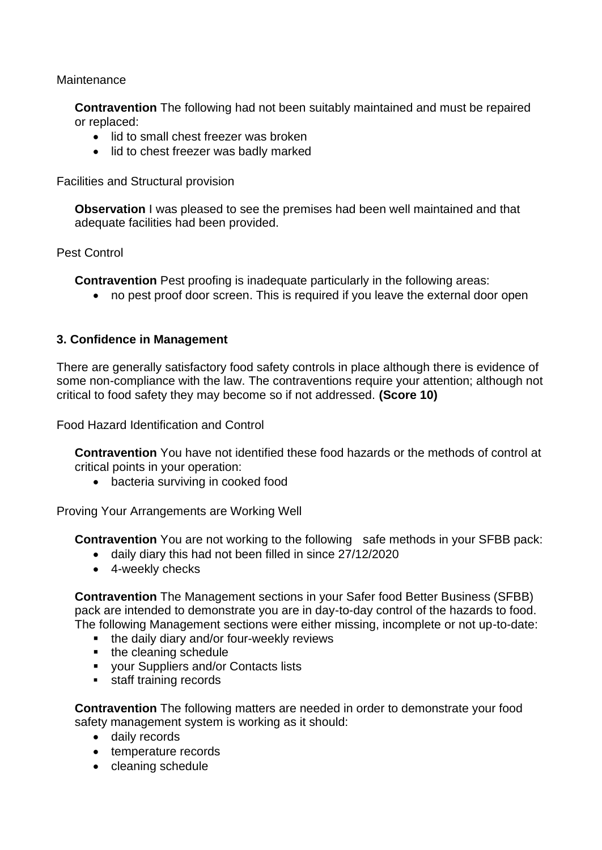**Maintenance** 

**Contravention** The following had not been suitably maintained and must be repaired or replaced:

- lid to small chest freezer was broken
- lid to chest freezer was badly marked

Facilities and Structural provision

**Observation** I was pleased to see the premises had been well maintained and that adequate facilities had been provided.

Pest Control

**Contravention** Pest proofing is inadequate particularly in the following areas:

• no pest proof door screen. This is required if you leave the external door open

### **3. Confidence in Management**

There are generally satisfactory food safety controls in place although there is evidence of some non-compliance with the law. The contraventions require your attention; although not critical to food safety they may become so if not addressed. **(Score 10)**

Food Hazard Identification and Control

**Contravention** You have not identified these food hazards or the methods of control at critical points in your operation:

• bacteria surviving in cooked food

Proving Your Arrangements are Working Well

**Contravention** You are not working to the following safe methods in your SFBB pack:

- daily diary this had not been filled in since 27/12/2020
- 4-weekly checks

**Contravention** The Management sections in your Safer food Better Business (SFBB) pack are intended to demonstrate you are in day-to-day control of the hazards to food. The following Management sections were either missing, incomplete or not up-to-date:

- the daily diary and/or four-weekly reviews
- the cleaning schedule
- your Suppliers and/or Contacts lists
- staff training records

**Contravention** The following matters are needed in order to demonstrate your food safety management system is working as it should:

- daily records
- temperature records
- cleaning schedule